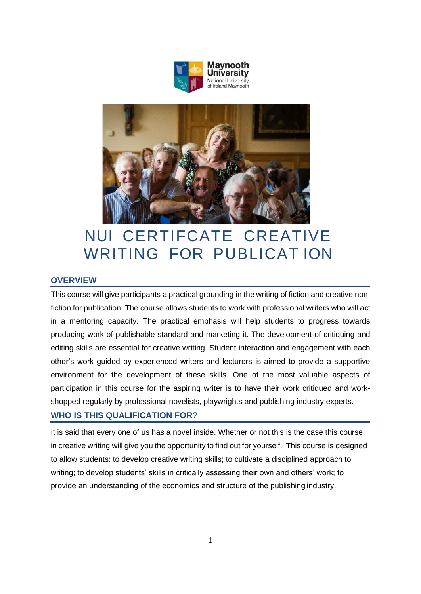



# NUI CERTIFCATE CREATIVE WRITING FOR PUBLICAT ION

# **OVERVIEW**

This course will give participants a practical grounding in the writing of fiction and creative nonfiction for publication. The course allows students to work with professional writers who will act in a mentoring capacity. The practical emphasis will help students to progress towards producing work of publishable standard and marketing it. The development of critiquing and editing skills are essential for creative writing. Student interaction and engagement with each other's work guided by experienced writers and lecturers is aimed to provide a supportive environment for the development of these skills. One of the most valuable aspects of participation in this course for the aspiring writer is to have their work critiqued and workshopped regularly by professional novelists, playwrights and publishing industry experts.

# **WHO IS THIS QUALIFICATION FOR?**

It is said that every one of us has a novel inside. Whether or not this is the case this course in creative writing will give you the opportunity to find out for yourself. This course is designed to allow students: to develop creative writing skills; to cultivate a disciplined approach to writing; to develop students' skills in critically assessing their own and others' work; to provide an understanding of the economics and structure of the publishing industry.